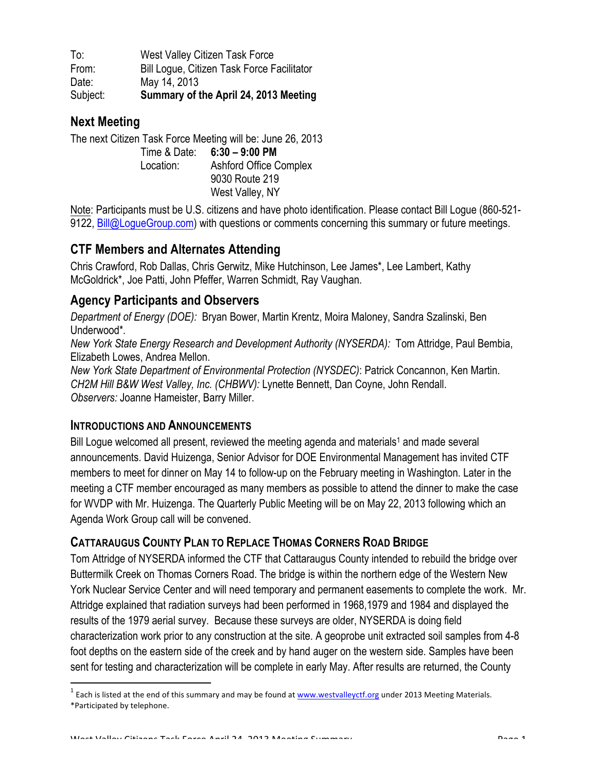To: West Valley Citizen Task Force From: Bill Logue, Citizen Task Force Facilitator Date: May 14, 2013 Subject: **Summary of the April 24, 2013 Meeting**

## **Next Meeting**

The next Citizen Task Force Meeting will be: June 26, 2013 Time & Date: **6:30 – 9:00 PM** Location: Ashford Office Complex 9030 Route 219 West Valley, NY

Note: Participants must be U.S. citizens and have photo identification. Please contact Bill Logue (860-521- 9122, Bill@LogueGroup.com) with questions or comments concerning this summary or future meetings.

# **CTF Members and Alternates Attending**

Chris Crawford, Rob Dallas, Chris Gerwitz, Mike Hutchinson, Lee James\*, Lee Lambert, Kathy McGoldrick\*, Joe Patti, John Pfeffer, Warren Schmidt, Ray Vaughan.

## **Agency Participants and Observers**

*Department of Energy (DOE):* Bryan Bower, Martin Krentz, Moira Maloney, Sandra Szalinski, Ben Underwood\**.*

*New York State Energy Research and Development Authority (NYSERDA):* Tom Attridge, Paul Bembia, Elizabeth Lowes, Andrea Mellon.

*New York State Department of Environmental Protection (NYSDEC)*: Patrick Concannon, Ken Martin. *CH2M Hill B&W West Valley, Inc. (CHBWV):* Lynette Bennett, Dan Coyne, John Rendall. *Observers:* Joanne Hameister, Barry Miller.

#### **INTRODUCTIONS AND ANNOUNCEMENTS**

Bill Logue welcomed all present, reviewed the meeting agenda and materials<sup>1</sup> and made several announcements. David Huizenga, Senior Advisor for DOE Environmental Management has invited CTF members to meet for dinner on May 14 to follow-up on the February meeting in Washington. Later in the meeting a CTF member encouraged as many members as possible to attend the dinner to make the case for WVDP with Mr. Huizenga. The Quarterly Public Meeting will be on May 22, 2013 following which an Agenda Work Group call will be convened.

# **CATTARAUGUS COUNTY PLAN TO REPLACE THOMAS CORNERS ROAD BRIDGE**

Tom Attridge of NYSERDA informed the CTF that Cattaraugus County intended to rebuild the bridge over Buttermilk Creek on Thomas Corners Road. The bridge is within the northern edge of the Western New York Nuclear Service Center and will need temporary and permanent easements to complete the work. Mr. Attridge explained that radiation surveys had been performed in 1968,1979 and 1984 and displayed the results of the 1979 aerial survey. Because these surveys are older, NYSERDA is doing field characterization work prior to any construction at the site. A geoprobe unit extracted soil samples from 4-8 foot depths on the eastern side of the creek and by hand auger on the western side. Samples have been sent for testing and characterization will be complete in early May. After results are returned, the County

 $1$  Each is listed at the end of this summary and may be found at  $\frac{www.westvalleyctf.org}{}$  under 2013 Meeting Materials. \*Participated by telephone.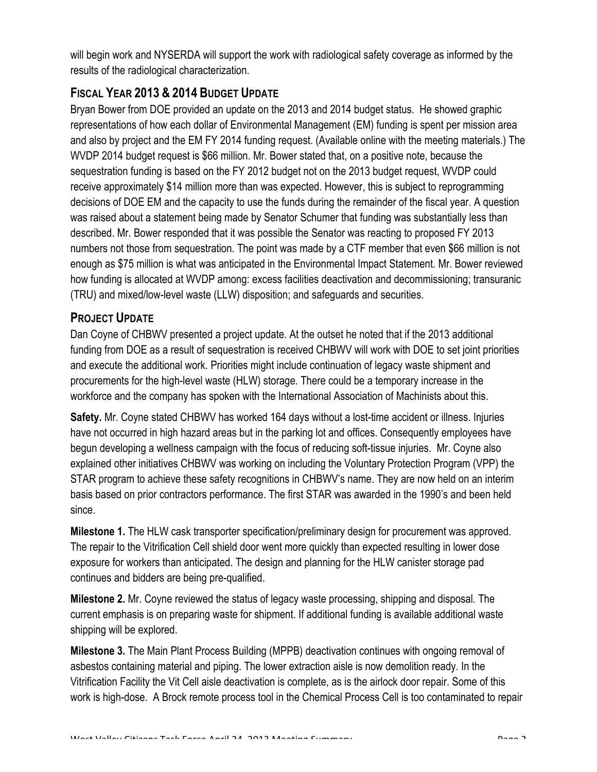will begin work and NYSERDA will support the work with radiological safety coverage as informed by the results of the radiological characterization.

# **FISCAL YEAR 2013 & 2014 BUDGET UPDATE**

Bryan Bower from DOE provided an update on the 2013 and 2014 budget status. He showed graphic representations of how each dollar of Environmental Management (EM) funding is spent per mission area and also by project and the EM FY 2014 funding request. (Available online with the meeting materials.) The WVDP 2014 budget request is \$66 million. Mr. Bower stated that, on a positive note, because the sequestration funding is based on the FY 2012 budget not on the 2013 budget request, WVDP could receive approximately \$14 million more than was expected. However, this is subject to reprogramming decisions of DOE EM and the capacity to use the funds during the remainder of the fiscal year. A question was raised about a statement being made by Senator Schumer that funding was substantially less than described. Mr. Bower responded that it was possible the Senator was reacting to proposed FY 2013 numbers not those from sequestration. The point was made by a CTF member that even \$66 million is not enough as \$75 million is what was anticipated in the Environmental Impact Statement. Mr. Bower reviewed how funding is allocated at WVDP among: excess facilities deactivation and decommissioning; transuranic (TRU) and mixed/low-level waste (LLW) disposition; and safeguards and securities.

## **PROJECT UPDATE**

Dan Coyne of CHBWV presented a project update. At the outset he noted that if the 2013 additional funding from DOE as a result of sequestration is received CHBWV will work with DOE to set joint priorities and execute the additional work. Priorities might include continuation of legacy waste shipment and procurements for the high-level waste (HLW) storage. There could be a temporary increase in the workforce and the company has spoken with the International Association of Machinists about this.

**Safety.** Mr. Coyne stated CHBWV has worked 164 days without a lost-time accident or illness. Injuries have not occurred in high hazard areas but in the parking lot and offices. Consequently employees have begun developing a wellness campaign with the focus of reducing soft-tissue injuries. Mr. Coyne also explained other initiatives CHBWV was working on including the Voluntary Protection Program (VPP) the STAR program to achieve these safety recognitions in CHBWV's name. They are now held on an interim basis based on prior contractors performance. The first STAR was awarded in the 1990's and been held since.

**Milestone 1.** The HLW cask transporter specification/preliminary design for procurement was approved. The repair to the Vitrification Cell shield door went more quickly than expected resulting in lower dose exposure for workers than anticipated. The design and planning for the HLW canister storage pad continues and bidders are being pre-qualified.

**Milestone 2.** Mr. Coyne reviewed the status of legacy waste processing, shipping and disposal. The current emphasis is on preparing waste for shipment. If additional funding is available additional waste shipping will be explored.

**Milestone 3.** The Main Plant Process Building (MPPB) deactivation continues with ongoing removal of asbestos containing material and piping. The lower extraction aisle is now demolition ready. In the Vitrification Facility the Vit Cell aisle deactivation is complete, as is the airlock door repair. Some of this work is high-dose. A Brock remote process tool in the Chemical Process Cell is too contaminated to repair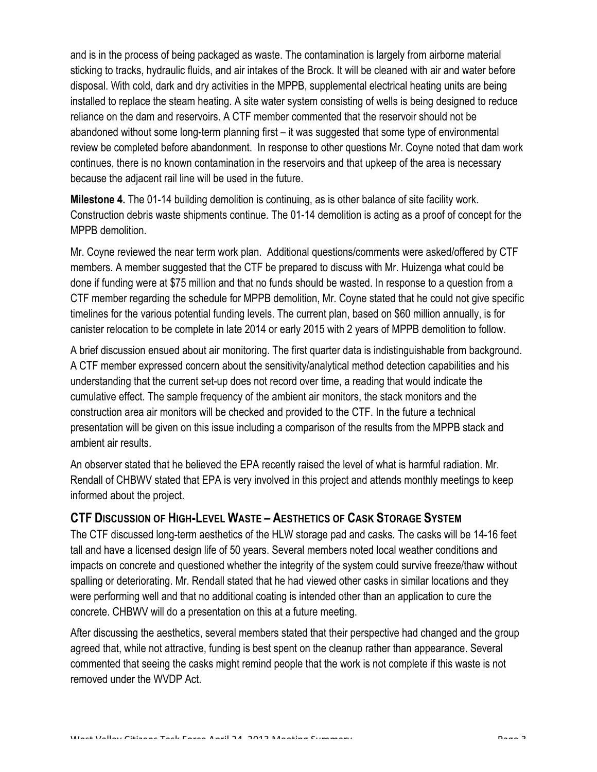and is in the process of being packaged as waste. The contamination is largely from airborne material sticking to tracks, hydraulic fluids, and air intakes of the Brock. It will be cleaned with air and water before disposal. With cold, dark and dry activities in the MPPB, supplemental electrical heating units are being installed to replace the steam heating. A site water system consisting of wells is being designed to reduce reliance on the dam and reservoirs. A CTF member commented that the reservoir should not be abandoned without some long-term planning first – it was suggested that some type of environmental review be completed before abandonment. In response to other questions Mr. Coyne noted that dam work continues, there is no known contamination in the reservoirs and that upkeep of the area is necessary because the adjacent rail line will be used in the future.

**Milestone 4.** The 01-14 building demolition is continuing, as is other balance of site facility work. Construction debris waste shipments continue. The 01-14 demolition is acting as a proof of concept for the MPPB demolition.

Mr. Coyne reviewed the near term work plan. Additional questions/comments were asked/offered by CTF members. A member suggested that the CTF be prepared to discuss with Mr. Huizenga what could be done if funding were at \$75 million and that no funds should be wasted. In response to a question from a CTF member regarding the schedule for MPPB demolition, Mr. Coyne stated that he could not give specific timelines for the various potential funding levels. The current plan, based on \$60 million annually, is for canister relocation to be complete in late 2014 or early 2015 with 2 years of MPPB demolition to follow.

A brief discussion ensued about air monitoring. The first quarter data is indistinguishable from background. A CTF member expressed concern about the sensitivity/analytical method detection capabilities and his understanding that the current set-up does not record over time, a reading that would indicate the cumulative effect. The sample frequency of the ambient air monitors, the stack monitors and the construction area air monitors will be checked and provided to the CTF. In the future a technical presentation will be given on this issue including a comparison of the results from the MPPB stack and ambient air results.

An observer stated that he believed the EPA recently raised the level of what is harmful radiation. Mr. Rendall of CHBWV stated that EPA is very involved in this project and attends monthly meetings to keep informed about the project.

#### **CTF DISCUSSION OF HIGH-LEVEL WASTE – AESTHETICS OF CASK STORAGE SYSTEM**

The CTF discussed long-term aesthetics of the HLW storage pad and casks. The casks will be 14-16 feet tall and have a licensed design life of 50 years. Several members noted local weather conditions and impacts on concrete and questioned whether the integrity of the system could survive freeze/thaw without spalling or deteriorating. Mr. Rendall stated that he had viewed other casks in similar locations and they were performing well and that no additional coating is intended other than an application to cure the concrete. CHBWV will do a presentation on this at a future meeting.

After discussing the aesthetics, several members stated that their perspective had changed and the group agreed that, while not attractive, funding is best spent on the cleanup rather than appearance. Several commented that seeing the casks might remind people that the work is not complete if this waste is not removed under the WVDP Act.